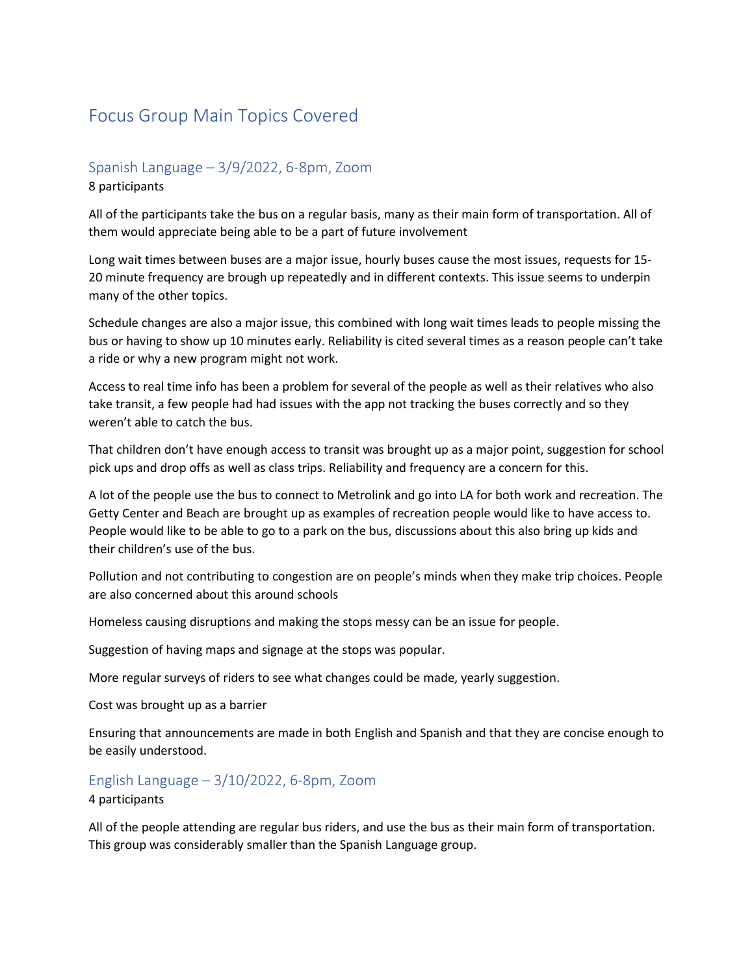# Focus Group Main Topics Covered

## Spanish Language – 3/9/2022, 6-8pm, Zoom

#### 8 participants

All of the participants take the bus on a regular basis, many as their main form of transportation. All of them would appreciate being able to be a part of future involvement

Long wait times between buses are a major issue, hourly buses cause the most issues, requests for 15- 20 minute frequency are brough up repeatedly and in different contexts. This issue seems to underpin many of the other topics.

Schedule changes are also a major issue, this combined with long wait times leads to people missing the bus or having to show up 10 minutes early. Reliability is cited several times as a reason people can't take a ride or why a new program might not work.

Access to real time info has been a problem for several of the people as well as their relatives who also take transit, a few people had had issues with the app not tracking the buses correctly and so they weren't able to catch the bus.

That children don't have enough access to transit was brought up as a major point, suggestion for school pick ups and drop offs as well as class trips. Reliability and frequency are a concern for this.

A lot of the people use the bus to connect to Metrolink and go into LA for both work and recreation. The Getty Center and Beach are brought up as examples of recreation people would like to have access to. People would like to be able to go to a park on the bus, discussions about this also bring up kids and their children's use of the bus.

Pollution and not contributing to congestion are on people's minds when they make trip choices. People are also concerned about this around schools

Homeless causing disruptions and making the stops messy can be an issue for people.

Suggestion of having maps and signage at the stops was popular.

More regular surveys of riders to see what changes could be made, yearly suggestion.

Cost was brought up as a barrier

Ensuring that announcements are made in both English and Spanish and that they are concise enough to be easily understood.

### English Language – 3/10/2022, 6-8pm, Zoom

#### 4 participants

All of the people attending are regular bus riders, and use the bus as their main form of transportation. This group was considerably smaller than the Spanish Language group.